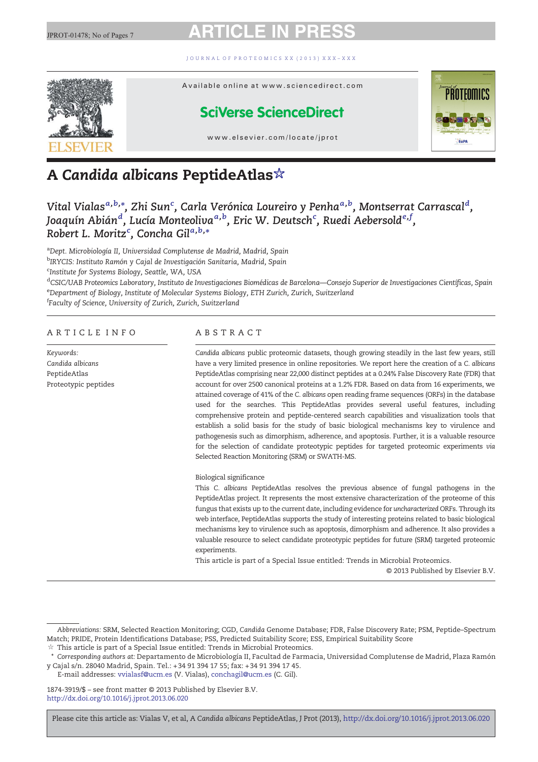#### JOURNAL OF PROTEOMICS XX (2013) XXX – XXX



Available online at www.sciencedirect.com

## **SciVerse ScienceDirect**

www.elsevier.com/locate/jprot



# A Candida albicans PeptideAtlas☆

Vital Vialas<sup>a,b,</sup>\*, Zhi Sun<sup>c</sup>, Carla Verónica Loureiro y Penha<sup>a,b</sup>, Montserrat Carrascal<sup>d</sup>, Joaquín Abián<sup>d</sup>, Lucía Monteoliva<sup>a,b</sup>, Eric W. Deutsch<sup>c</sup>, Ruedi Aebersold<sup>e,f</sup>, Robert L. Moritz<sup>c</sup>, Concha Gil<sup>a,b,</sup>\*

<sup>a</sup>Dept. Microbiología II, Universidad Complutense de Madrid, Madrid, Spain

<sup>b</sup>IRYCIS: Instituto Ramón y Cajal de Investigación Sanitaria, Madrid, Spain

<sup>c</sup>Institute for Systems Biology, Seattle, WA, USA

<sup>d</sup>CSIC/UAB Proteomics Laboratory, Instituto de Investigaciones Biomédicas de Barcelona—Consejo Superior de Investigaciones Científicas, Spain e Department of Biology, Institute of Molecular Systems Biology, ETH Zurich, Zurich, Switzerland f Faculty of Science, University of Zurich, Zurich, Switzerland

### ARTICLE INFO ABSTRACT

Keywords: Candida albicans PeptideAtlas Proteotypic peptides

Candida albicans public proteomic datasets, though growing steadily in the last few years, still have a very limited presence in online repositories. We report here the creation of a C. albicans PeptideAtlas comprising near 22,000 distinct peptides at a 0.24% False Discovery Rate (FDR) that account for over 2500 canonical proteins at a 1.2% FDR. Based on data from 16 experiments, we attained coverage of 41% of the C. albicans open reading frame sequences (ORFs) in the database used for the searches. This PeptideAtlas provides several useful features, including comprehensive protein and peptide-centered search capabilities and visualization tools that establish a solid basis for the study of basic biological mechanisms key to virulence and pathogenesis such as dimorphism, adherence, and apoptosis. Further, it is a valuable resource for the selection of candidate proteotypic peptides for targeted proteomic experiments via Selected Reaction Monitoring (SRM) or SWATH-MS.

#### Biological significance

This C. albicans PeptideAtlas resolves the previous absence of fungal pathogens in the PeptideAtlas project. It represents the most extensive characterization of the proteome of this fungus that exists up to the current date, including evidence for uncharacterized ORFs. Through its web interface, PeptideAtlas supports the study of interesting proteins related to basic biological mechanisms key to virulence such as apoptosis, dimorphism and adherence. It also provides a valuable resource to select candidate proteotypic peptides for future (SRM) targeted proteomic experiments.

This article is part of a Special Issue entitled: Trends in Microbial Proteomics.

© 2013 Published by Elsevier B.V.

☆ This article is part of a Special Issue entitled: Trends in Microbial Proteomics.

1874-3919/\$ – see front matter © 2013 Published by Elsevier B.V. http://dx.doi.org/10.1016/j.jprot.2013.06.020

Abbreviations: SRM, Selected Reaction Monitoring; CGD, Candida Genome Database; FDR, False Discovery Rate; PSM, Peptide–Spectrum Match; PRIDE, Protein Identifications Database; PSS, Predicted Suitability Score; ESS, Empirical Suitability Score

<sup>⁎</sup> Corresponding authors at: Departamento de Microbiología II, Facultad de Farmacia, Universidad Complutense de Madrid, Plaza Ramón y Cajal s/n. 28040 Madrid, Spain. Tel.: + 34 91 394 17 55; fax: + 34 91 394 17 45.

E-mail addresses: vvialasf@ucm.es (V. Vialas), conchagil@ucm.es (C. Gil).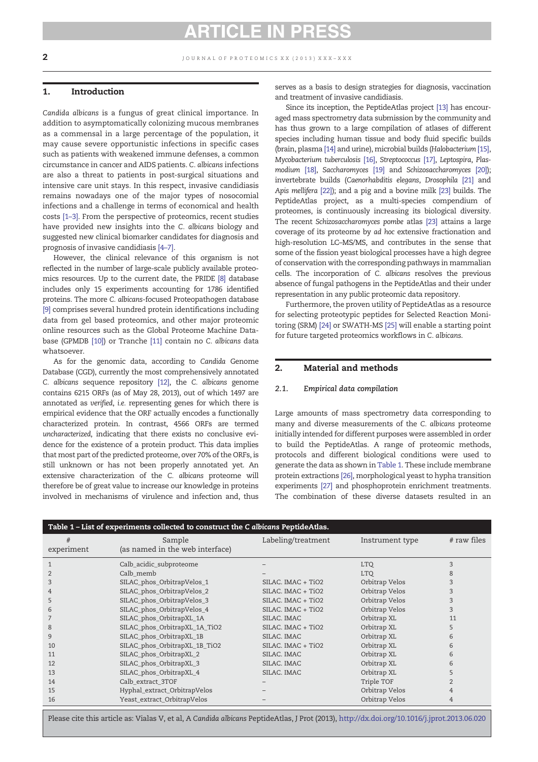#### 1. Introduction

Candida albicans is a fungus of great clinical importance. In addition to asymptomatically colonizing mucous membranes as a commensal in a large percentage of the population, it may cause severe opportunistic infections in specific cases such as patients with weakened immune defenses, a common circumstance in cancer and AIDS patients. C. albicans infections are also a threat to patients in post-surgical situations and intensive care unit stays. In this respect, invasive candidiasis remains nowadays one of the major types of nosocomial infections and a challenge in terms of economical and health costs [1–3]. From the perspective of proteomics, recent studies have provided new insights into the C. albicans biology and suggested new clinical biomarker candidates for diagnosis and prognosis of invasive candidiasis [4–7].

However, the clinical relevance of this organism is not reflected in the number of large-scale publicly available proteomics resources. Up to the current date, the PRIDE [8] database includes only 15 experiments accounting for 1786 identified proteins. The more C. albicans-focused Proteopathogen database [9] comprises several hundred protein identifications including data from gel based proteomics, and other major proteomic online resources such as the Global Proteome Machine Database (GPMDB [10]) or Tranche [11] contain no C. albicans data whatsoever.

As for the genomic data, according to Candida Genome Database (CGD), currently the most comprehensively annotated C. albicans sequence repository [12], the C. albicans genome contains 6215 ORFs (as of May 28, 2013), out of which 1497 are annotated as verified, i.e. representing genes for which there is empirical evidence that the ORF actually encodes a functionally characterized protein. In contrast, 4566 ORFs are termed uncharacterized, indicating that there exists no conclusive evidence for the existence of a protein product. This data implies that most part of the predicted proteome, over 70% of the ORFs, is still unknown or has not been properly annotated yet. An extensive characterization of the C. albicans proteome will therefore be of great value to increase our knowledge in proteins involved in mechanisms of virulence and infection and, thus serves as a basis to design strategies for diagnosis, vaccination and treatment of invasive candidiasis.

Since its inception, the PeptideAtlas project [13] has encouraged mass spectrometry data submission by the community and has thus grown to a large compilation of atlases of different species including human tissue and body fluid specific builds (brain, plasma [14] and urine), microbial builds (Halobacterium [15], Mycobacterium tuberculosis [16], Streptococcus [17], Leptospira, Plasmodium [18], Saccharomyces [19] and Schizosaccharomyces [20]); invertebrate builds (Caenorhabditis elegans, Drosophila [21] and Apis mellifera [22]); and a pig and a bovine milk [23] builds. The PeptideAtlas project, as a multi-species compendium of proteomes, is continuously increasing its biological diversity. The recent Schizosaccharomyces pombe atlas [23] attains a large coverage of its proteome by ad hoc extensive fractionation and high-resolution LC–MS/MS, and contributes in the sense that some of the fission yeast biological processes have a high degree of conservation with the corresponding pathways in mammalian cells. The incorporation of C. albicans resolves the previous absence of fungal pathogens in the PeptideAtlas and their under representation in any public proteomic data repository.

Furthermore, the proven utility of PeptideAtlas as a resource for selecting proteotypic peptides for Selected Reaction Monitoring (SRM) [24] or SWATH-MS [25] will enable a starting point for future targeted proteomics workflows in C. albicans.

### 2. Material and methods

#### 2.1. Empirical data compilation

Large amounts of mass spectrometry data corresponding to many and diverse measurements of the C. albicans proteome initially intended for different purposes were assembled in order to build the PeptideAtlas. A range of proteomic methods, protocols and different biological conditions were used to generate the data as shown in Table 1. These include membrane protein extractions [26], morphological yeast to hypha transition experiments [27] and phosphoprotein enrichment treatments. The combination of these diverse datasets resulted in an

| Table 1 - List of experiments collected to construct the C albicans PeptideAtlas. |                                           |                    |                 |                |
|-----------------------------------------------------------------------------------|-------------------------------------------|--------------------|-----------------|----------------|
| experiment                                                                        | Sample<br>(as named in the web interface) | Labeling/treatment | Instrument type | # raw files    |
|                                                                                   | Calb_acidic_subproteome                   |                    | <b>LTQ</b>      | 3              |
|                                                                                   | Calb memb                                 |                    | <b>LTQ</b>      | 8              |
| 3                                                                                 | SILAC_phos_OrbitrapVelos_1                | SILAC. IMAC + TiO2 | Orbitrap Velos  | 3              |
| 4                                                                                 | SILAC_phos_OrbitrapVelos_2                | SILAC. IMAC + TiO2 | Orbitrap Velos  | 3              |
| 5                                                                                 | SILAC_phos_OrbitrapVelos_3                | SILAC. IMAC + TiO2 | Orbitrap Velos  | 3              |
| 6                                                                                 | SILAC_phos_OrbitrapVelos_4                | SILAC. IMAC + TiO2 | Orbitrap Velos  | 3              |
|                                                                                   | SILAC_phos_OrbitrapXL_1A                  | SILAC. IMAC        | Orbitrap XL     | 11             |
| 8                                                                                 | SILAC_phos_OrbitrapXL_1A_TiO2             | SILAC. IMAC + TiO2 | Orbitrap XL     | 5              |
| 9                                                                                 | SILAC_phos_OrbitrapXL_1B                  | SILAC. IMAC        | Orbitrap XL     | 6              |
| 10                                                                                | SILAC_phos_OrbitrapXL_1B_TiO2             | SILAC. IMAC + TiO2 | Orbitrap XL     | 6              |
| 11                                                                                | SILAC_phos_OrbitrapXL_2                   | SILAC. IMAC        | Orbitrap XL     | 6              |
| 12                                                                                | SILAC_phos_OrbitrapXL_3                   | SILAC. IMAC        | Orbitrap XL     | 6              |
| 13                                                                                | SILAC_phos_OrbitrapXL_4                   | SILAC. IMAC        | Orbitrap XL     | 5              |
| 14                                                                                | Calb_extract_3TOF                         |                    | Triple TOF      | $\overline{2}$ |
| 15                                                                                | Hyphal_extract_OrbitrapVelos              |                    | Orbitrap Velos  | $\overline{4}$ |
| 16                                                                                | Yeast_extract_OrbitrapVelos               |                    | Orbitrap Velos  | 4              |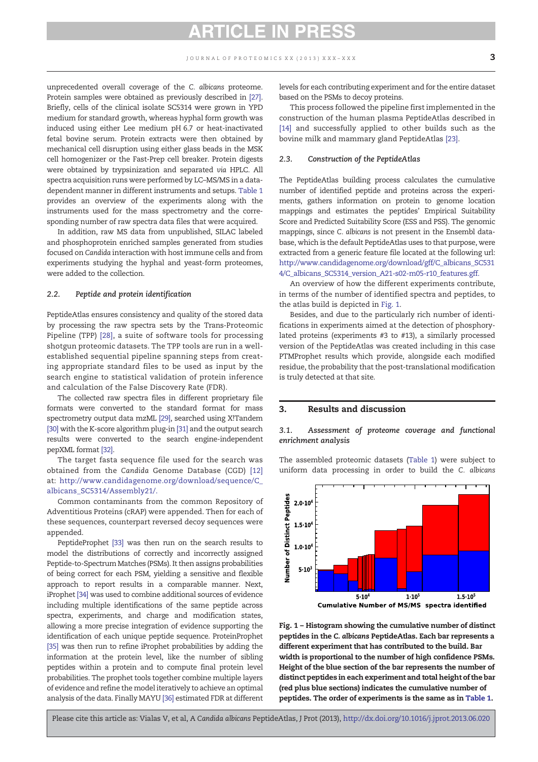unprecedented overall coverage of the C. albicans proteome. Protein samples were obtained as previously described in [27]. Briefly, cells of the clinical isolate SC5314 were grown in YPD medium for standard growth, whereas hyphal form growth was induced using either Lee medium pH 6.7 or heat-inactivated fetal bovine serum. Protein extracts were then obtained by mechanical cell disruption using either glass beads in the MSK cell homogenizer or the Fast-Prep cell breaker. Protein digests were obtained by trypsinization and separated via HPLC. All spectra acquisition runs were performed by LC–MS/MS in a datadependent manner in different instruments and setups. Table 1 provides an overview of the experiments along with the instruments used for the mass spectrometry and the corresponding number of raw spectra data files that were acquired.

In addition, raw MS data from unpublished, SILAC labeled and phosphoprotein enriched samples generated from studies focused on Candida interaction with host immune cells and from experiments studying the hyphal and yeast-form proteomes, were added to the collection.

#### 2.2. Peptide and protein identification

PeptideAtlas ensures consistency and quality of the stored data by processing the raw spectra sets by the Trans-Proteomic Pipeline (TPP) [28], a suite of software tools for processing shotgun proteomic datasets. The TPP tools are run in a wellestablished sequential pipeline spanning steps from creating appropriate standard files to be used as input by the search engine to statistical validation of protein inference and calculation of the False Discovery Rate (FDR).

The collected raw spectra files in different proprietary file formats were converted to the standard format for mass spectrometry output data mzML [29], searched using X!Tandem [30] with the K-score algorithm plug-in [31] and the output search results were converted to the search engine-independent pepXML format [32].

The target fasta sequence file used for the search was obtained from the Candida Genome Database (CGD) [12] at: http://www.candidagenome.org/download/sequence/C\_ albicans\_SC5314/Assembly21/.

Common contaminants from the common Repository of Adventitious Proteins (cRAP) were appended. Then for each of these sequences, counterpart reversed decoy sequences were appended.

PeptideProphet [33] was then run on the search results to model the distributions of correctly and incorrectly assigned Peptide-to-Spectrum Matches (PSMs). It then assigns probabilities of being correct for each PSM, yielding a sensitive and flexible approach to report results in a comparable manner. Next, iProphet [34] was used to combine additional sources of evidence including multiple identifications of the same peptide across spectra, experiments, and charge and modification states, allowing a more precise integration of evidence supporting the identification of each unique peptide sequence. ProteinProphet [35] was then run to refine iProphet probabilities by adding the information at the protein level, like the number of sibling peptides within a protein and to compute final protein level probabilities. The prophet tools together combine multiple layers of evidence and refine the model iteratively to achieve an optimal analysis of the data. Finally MAYU [36] estimated FDR at different levels for each contributing experiment and for the entire dataset based on the PSMs to decoy proteins.

This process followed the pipeline first implemented in the construction of the human plasma PeptideAtlas described in [14] and successfully applied to other builds such as the bovine milk and mammary gland PeptideAtlas [23].

#### 2.3. Construction of the PeptideAtlas

The PeptideAtlas building process calculates the cumulative number of identified peptide and proteins across the experiments, gathers information on protein to genome location mappings and estimates the peptides' Empirical Suitability Score and Predicted Suitability Score (ESS and PSS). The genomic mappings, since C. albicans is not present in the Ensembl database, which is the default PeptideAtlas uses to that purpose, were extracted from a generic feature file located at the following url: http://www.candidagenome.org/download/gff/C\_albicans\_SC531 4/C albicans SC5314 version A21-s02-m05-r10 features.gff.

An overview of how the different experiments contribute, in terms of the number of identified spectra and peptides, to the atlas build is depicted in Fig. 1.

Besides, and due to the particularly rich number of identifications in experiments aimed at the detection of phosphorylated proteins (experiments #3 to #13), a similarly processed version of the PeptideAtlas was created including in this case PTMProphet results which provide, alongside each modified residue, the probability that the post-translational modification is truly detected at that site.

#### 3. Results and discussion

### 3.1. Assessment of proteome coverage and functional enrichment analysis

The assembled proteomic datasets (Table 1) were subject to uniform data processing in order to build the C. albicans



Fig. 1 – Histogram showing the cumulative number of distinct peptides in the C. albicans PeptideAtlas. Each bar represents a different experiment that has contributed to the build. Bar width is proportional to the number of high confidence PSMs. Height of the blue section of the bar represents the number of distinct peptides in each experiment and total height of the bar (red plus blue sections) indicates the cumulative number of peptides. The order of experiments is the same as in Table 1.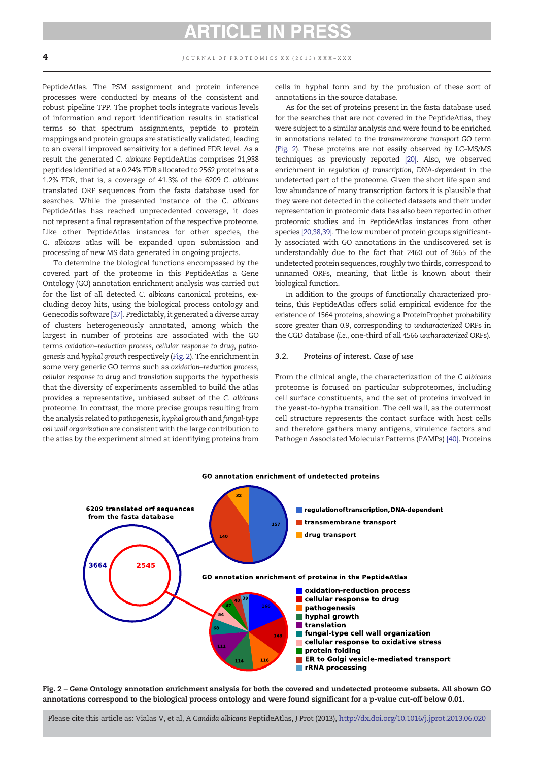PeptideAtlas. The PSM assignment and protein inference processes were conducted by means of the consistent and robust pipeline TPP. The prophet tools integrate various levels of information and report identification results in statistical terms so that spectrum assignments, peptide to protein mappings and protein groups are statistically validated, leading to an overall improved sensitivity for a defined FDR level. As a result the generated C. albicans PeptideAtlas comprises 21,938 peptides identified at a 0.24% FDR allocated to 2562 proteins at a 1.2% FDR, that is, a coverage of 41.3% of the 6209 C. albicans translated ORF sequences from the fasta database used for searches. While the presented instance of the C. albicans PeptideAtlas has reached unprecedented coverage, it does not represent a final representation of the respective proteome. Like other PeptideAtlas instances for other species, the C. albicans atlas will be expanded upon submission and processing of new MS data generated in ongoing projects.

To determine the biological functions encompassed by the covered part of the proteome in this PeptideAtlas a Gene Ontology (GO) annotation enrichment analysis was carried out for the list of all detected C. albicans canonical proteins, excluding decoy hits, using the biological process ontology and Genecodis software [37]. Predictably, it generated a diverse array of clusters heterogeneously annotated, among which the largest in number of proteins are associated with the GO terms oxidation–reduction process, cellular response to drug, pathogenesis and hyphal growth respectively (Fig. 2). The enrichment in some very generic GO terms such as oxidation–reduction process, cellular response to drug and translation supports the hypothesis that the diversity of experiments assembled to build the atlas provides a representative, unbiased subset of the C. albicans proteome. In contrast, the more precise groups resulting from the analysis related to pathogenesis, hyphal growth and fungal-type cell wall organization are consistent with the large contribution to the atlas by the experiment aimed at identifying proteins from cells in hyphal form and by the profusion of these sort of annotations in the source database.

As for the set of proteins present in the fasta database used for the searches that are not covered in the PeptideAtlas, they were subject to a similar analysis and were found to be enriched in annotations related to the transmembrane transport GO term (Fig. 2). These proteins are not easily observed by LC–MS/MS techniques as previously reported [20]. Also, we observed enrichment in regulation of transcription, DNA-dependent in the undetected part of the proteome. Given the short life span and low abundance of many transcription factors it is plausible that they were not detected in the collected datasets and their under representation in proteomic data has also been reported in other proteomic studies and in PeptideAtlas instances from other species [20,38,39]. The low number of protein groups significantly associated with GO annotations in the undiscovered set is understandably due to the fact that 2460 out of 3665 of the undetected protein sequences, roughly two thirds, correspond to unnamed ORFs, meaning, that little is known about their biological function.

In addition to the groups of functionally characterized proteins, this PeptideAtlas offers solid empirical evidence for the existence of 1564 proteins, showing a ProteinProphet probability score greater than 0.9, corresponding to uncharacterized ORFs in the CGD database (i.e., one-third of all 4566 uncharacterized ORFs).

### 3.2. Proteins of interest. Case of use

From the clinical angle, the characterization of the C albicans proteome is focused on particular subproteomes, including cell surface constituents, and the set of proteins involved in the yeast-to-hypha transition. The cell wall, as the outermost cell structure represents the contact surface with host cells and therefore gathers many antigens, virulence factors and Pathogen Associated Molecular Patterns (PAMPs) [40]. Proteins



Fig. 2 – Gene Ontology annotation enrichment analysis for both the covered and undetected proteome subsets. All shown GO annotations correspond to the biological process ontology and were found significant for a p-value cut-off below 0.01.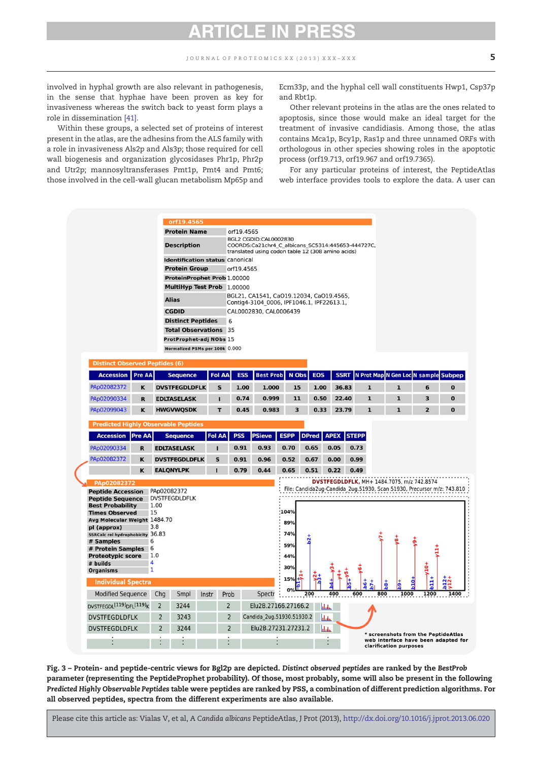involved in hyphal growth are also relevant in pathogenesis, in the sense that hyphae have been proven as key for invasiveness whereas the switch back to yeast form plays a role in dissemination [41].

Within these groups, a selected set of proteins of interest present in the atlas, are the adhesins from the ALS family with a role in invasiveness Als2p and Als3p; those required for cell wall biogenesis and organization glycosidases Phr1p, Phr2p and Utr2p; mannosyltransferases Pmt1p, Pmt4 and Pmt6; those involved in the cell-wall glucan metabolism Mp65p and Ecm33p, and the hyphal cell wall constituents Hwp1, Csp37p and Rbt1p.

Other relevant proteins in the atlas are the ones related to apoptosis, since those would make an ideal target for the treatment of invasive candidiasis. Among those, the atlas contains Mca1p, Bcy1p, Ras1p and three unnamed ORFs with orthologous in other species showing roles in the apoptotic process (orf19.713, orf19.967 and orf19.7365).

For any particular proteins of interest, the PeptideAtlas web interface provides tools to explore the data. A user can



Fig. 3 – Protein- and peptide-centric views for Bgl2p are depicted. Distinct observed peptides are ranked by the BestProb parameter (representing the PeptideProphet probability). Of those, most probably, some will also be present in the following Predicted Highly Observable Peptides table were peptides are ranked by PSS, a combination of different prediction algorithms. For all observed peptides, spectra from the different experiments are also available.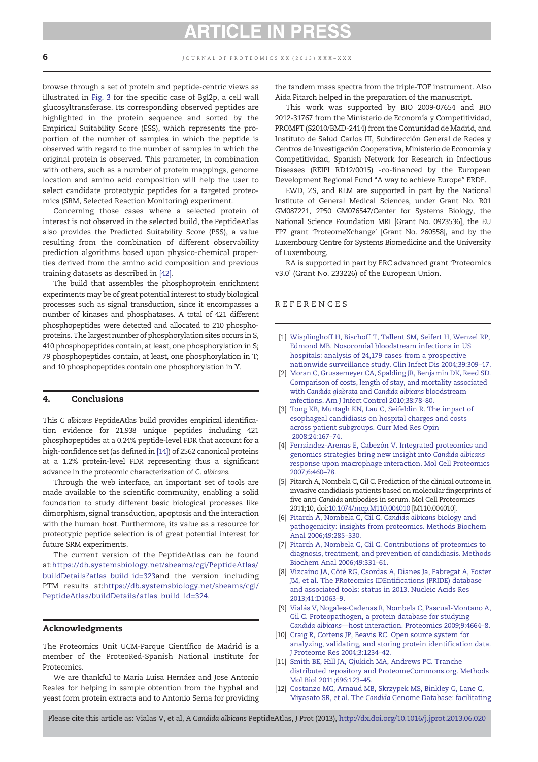browse through a set of protein and peptide-centric views as illustrated in Fig. 3 for the specific case of Bgl2p, a cell wall glucosyltransferase. Its corresponding observed peptides are highlighted in the protein sequence and sorted by the Empirical Suitability Score (ESS), which represents the proportion of the number of samples in which the peptide is observed with regard to the number of samples in which the original protein is observed. This parameter, in combination with others, such as a number of protein mappings, genome location and amino acid composition will help the user to select candidate proteotypic peptides for a targeted proteomics (SRM, Selected Reaction Monitoring) experiment.

Concerning those cases where a selected protein of interest is not observed in the selected build, the PeptideAtlas also provides the Predicted Suitability Score (PSS), a value resulting from the combination of different observability prediction algorithms based upon physico-chemical properties derived from the amino acid composition and previous training datasets as described in [42].

The build that assembles the phosphoprotein enrichment experiments may be of great potential interest to study biological processes such as signal transduction, since it encompasses a number of kinases and phosphatases. A total of 421 different phosphopeptides were detected and allocated to 210 phosphoproteins. The largest number of phosphorylation sites occurs in S, 410 phosphopeptides contain, at least, one phosphorylation in S; 79 phosphopeptides contain, at least, one phosphorylation in T; and 10 phosphopeptides contain one phosphorylation in Y.

### 4. Conclusions

This C albicans PeptideAtlas build provides empirical identification evidence for 21,938 unique peptides including 421 phosphopeptides at a 0.24% peptide-level FDR that account for a high-confidence set (as defined in [14]) of 2562 canonical proteins at a 1.2% protein-level FDR representing thus a significant advance in the proteomic characterization of C. albicans.

Through the web interface, an important set of tools are made available to the scientific community, enabling a solid foundation to study different basic biological processes like dimorphism, signal transduction, apoptosis and the interaction with the human host. Furthermore, its value as a resource for proteotypic peptide selection is of great potential interest for future SRM experiments.

The current version of the PeptideAtlas can be found at:https://db.systemsbiology.net/sbeams/cgi/PeptideAtlas/ buildDetails?atlas\_build\_id=323and the version including PTM results at:https://db.systemsbiology.net/sbeams/cgi/ PeptideAtlas/buildDetails?atlas\_build\_id=324.

### Acknowledgments

The Proteomics Unit UCM-Parque Científico de Madrid is a member of the ProteoRed-Spanish National Institute for **Proteomics** 

We are thankful to María Luisa Hernáez and Jose Antonio Reales for helping in sample obtention from the hyphal and yeast form protein extracts and to Antonio Serna for providing the tandem mass spectra from the triple-TOF instrument. Also Aida Pitarch helped in the preparation of the manuscript.

This work was supported by BIO 2009-07654 and BIO 2012-31767 from the Ministerio de Economía y Competitividad, PROMPT (S2010/BMD-2414) from the Comunidad de Madrid, and Instituto de Salud Carlos III, Subdirección General de Redes y Centros de Investigación Cooperativa, Ministerio de Economía y Competitividad, Spanish Network for Research in Infectious Diseases (REIPI RD12/0015) -co-financed by the European Development Regional Fund "A way to achieve Europe" ERDF.

EWD, ZS, and RLM are supported in part by the National Institute of General Medical Sciences, under Grant No. R01 GM087221, 2P50 GM076547/Center for Systems Biology, the National Science Foundation MRI [Grant No. 0923536], the EU FP7 grant 'ProteomeXchange' [Grant No. 260558], and by the Luxembourg Centre for Systems Biomedicine and the University of Luxembourg.

RA is supported in part by ERC advanced grant 'Proteomics v3.0' (Grant No. 233226) of the European Union.

### REFERENCES

- [1] Wisplinghoff H, Bischoff T, Tallent SM, Seifert H, Wenzel RP, Edmond MB. Nosocomial bloodstream infections in US hospitals: analysis of 24,179 cases from a prospective nationwide surveillance study. Clin Infect Dis 2004;39:309–17.
- [2] Moran C, Grussemeyer CA, Spalding JR, Benjamin DK, Reed SD. Comparison of costs, length of stay, and mortality associated with Candida glabrata and Candida albicans bloodstream infections. Am J Infect Control 2010;38:78–80.
- [3] Tong KB, Murtagh KN, Lau C, Seifeldin R. The impact of esophageal candidiasis on hospital charges and costs across patient subgroups. Curr Med Res Opin 2008;24:167–74.
- [4] Fernández-Arenas E, Cabezón V. Integrated proteomics and genomics strategies bring new insight into Candida albicans response upon macrophage interaction. Mol Cell Proteomics 2007;6:460–78.
- [5] Pitarch A, Nombela C, Gil C. Prediction of the clinical outcome in invasive candidiasis patients based on molecular fingerprints of five anti-Candida antibodies in serum. Mol Cell Proteomics 2011;10, doi:10.1074/mcp.M110.004010 [M110.004010].
- [6] Pitarch A, Nombela C, Gil C. Candida albicans biology and pathogenicity: insights from proteomics. Methods Biochem Anal 2006;49:285–330.
- [7] Pitarch A, Nombela C, Gil C. Contributions of proteomics to diagnosis, treatment, and prevention of candidiasis. Methods Biochem Anal 2006;49:331–61.
- [8] Vizcaíno JA, Côté RG, Csordas A, Dianes Ja, Fabregat A, Foster JM, et al. The PRoteomics IDEntifications (PRIDE) database and associated tools: status in 2013. Nucleic Acids Res 2013;41:D1063–9.
- [9] Vialás V, Nogales-Cadenas R, Nombela C, Pascual-Montano A, Gil C. Proteopathogen, a protein database for studying Candida albicans—host interaction. Proteomics 2009;9:4664–8.
- [10] Craig R, Cortens JP, Beavis RC. Open source system for analyzing, validating, and storing protein identification data. J Proteome Res 2004;3:1234–42.
- [11] Smith BE, Hill JA, Gjukich MA, Andrews PC. Tranche distributed repository and ProteomeCommons.org. Methods Mol Biol 2011;696:123–45.
- [12] Costanzo MC, Arnaud MB, Skrzypek MS, Binkley G, Lane C, Miyasato SR, et al. The Candida Genome Database: facilitating